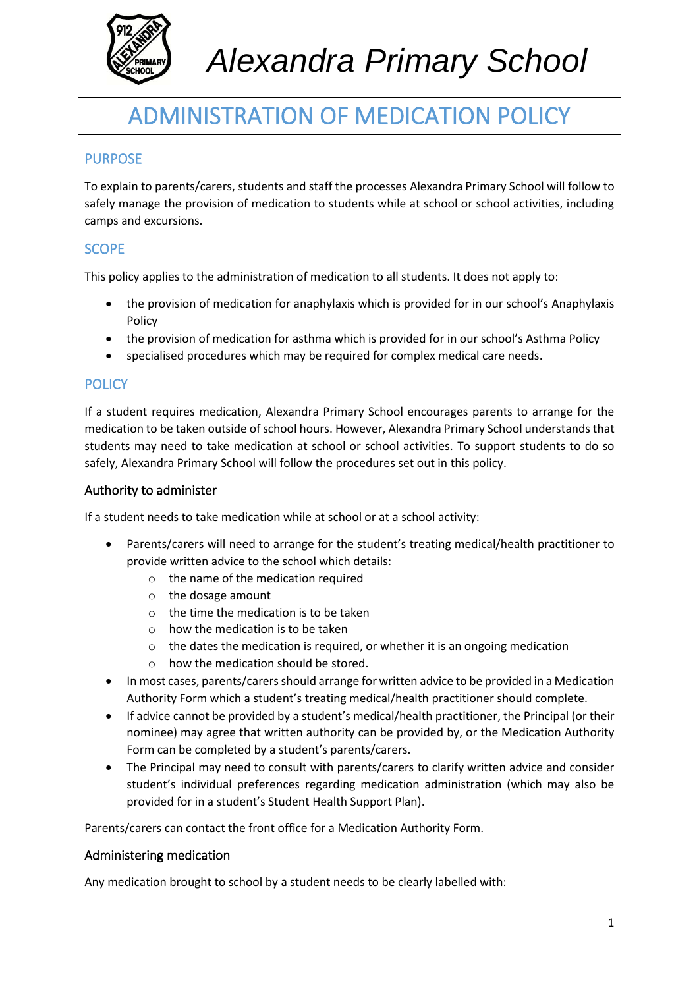

# ADMINISTRATION OF MEDICATION POLICY

# PURPOSE

To explain to parents/carers, students and staff the processes Alexandra Primary School will follow to safely manage the provision of medication to students while at school or school activities, including camps and excursions.

# **SCOPE**

This policy applies to the administration of medication to all students. It does not apply to:

- the provision of medication for anaphylaxis which is provided for in our school's Anaphylaxis Policy
- the provision of medication for asthma which is provided for in our school's Asthma Policy
- specialised procedures which may be required for complex medical care needs.

# **POLICY**

If a student requires medication, Alexandra Primary School encourages parents to arrange for the medication to be taken outside of school hours. However, Alexandra Primary School understands that students may need to take medication at school or school activities. To support students to do so safely, Alexandra Primary School will follow the procedures set out in this policy.

#### Authority to administer

If a student needs to take medication while at school or at a school activity:

- Parents/carers will need to arrange for the student's treating medical/health practitioner to provide written advice to the school which details:
	- o the name of the medication required
	- o the dosage amount
	- o the time the medication is to be taken
	- $\circ$  how the medication is to be taken
	- o the dates the medication is required, or whether it is an ongoing medication
	- o how the medication should be stored.
- In most cases, parents/carers should arrange for written advice to be provided in a Medication Authority Form which a student's treating medical/health practitioner should complete.
- If advice cannot be provided by a student's medical/health practitioner, the Principal (or their nominee) may agree that written authority can be provided by, or the Medication Authority Form can be completed by a student's parents/carers.
- The Principal may need to consult with parents/carers to clarify written advice and consider student's individual preferences regarding medication administration (which may also be provided for in a student's Student Health Support Plan).

Parents/carers can contact the front office for a Medication Authority Form.

#### Administering medication

Any medication brought to school by a student needs to be clearly labelled with: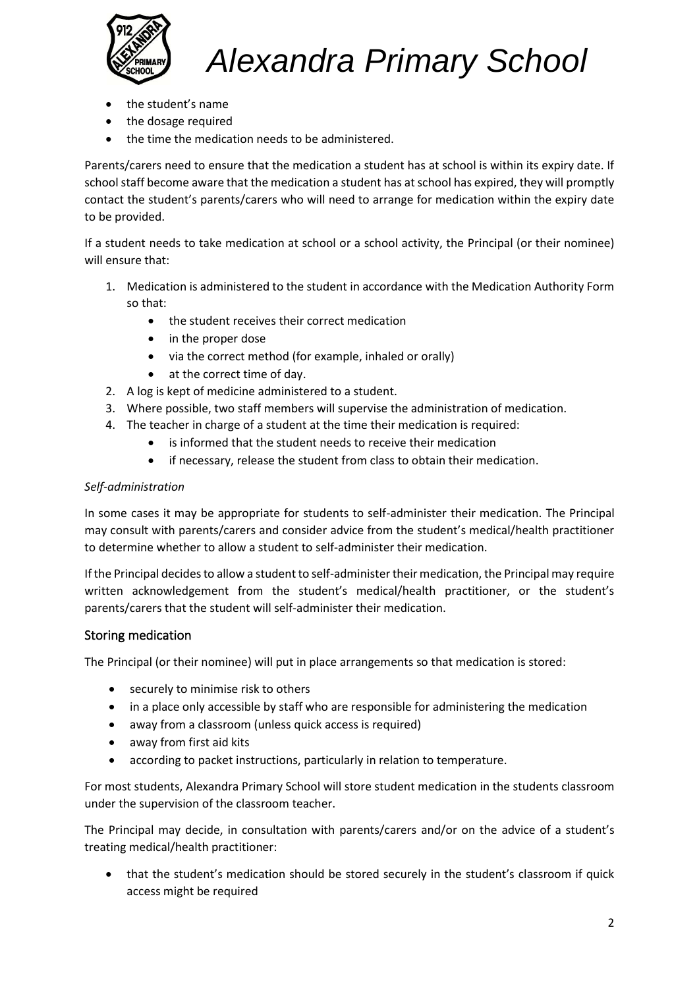

- the student's name
- the dosage required
- the time the medication needs to be administered.

Parents/carers need to ensure that the medication a student has at school is within its expiry date. If school staff become aware that the medication a student has at school has expired, they will promptly contact the student's parents/carers who will need to arrange for medication within the expiry date to be provided.

If a student needs to take medication at school or a school activity, the Principal (or their nominee) will ensure that:

- 1. Medication is administered to the student in accordance with the Medication Authority Form so that:
	- the student receives their correct medication
	- in the proper dose
	- via the correct method (for example, inhaled or orally)
	- at the correct time of day.
- 2. A log is kept of medicine administered to a student.
- 3. Where possible, two staff members will supervise the administration of medication.
- 4. The teacher in charge of a student at the time their medication is required:
	- is informed that the student needs to receive their medication
	- if necessary, release the student from class to obtain their medication.

#### *Self-administration*

In some cases it may be appropriate for students to self-administer their medication. The Principal may consult with parents/carers and consider advice from the student's medical/health practitioner to determine whether to allow a student to self-administer their medication.

If the Principal decides to allow a student to self-administer their medication, the Principal may require written acknowledgement from the student's medical/health practitioner, or the student's parents/carers that the student will self-administer their medication.

#### Storing medication

The Principal (or their nominee) will put in place arrangements so that medication is stored:

- securely to minimise risk to others
- in a place only accessible by staff who are responsible for administering the medication
- away from a classroom (unless quick access is required)
- away from first aid kits
- according to packet instructions, particularly in relation to temperature.

For most students, Alexandra Primary School will store student medication in the students classroom under the supervision of the classroom teacher.

The Principal may decide, in consultation with parents/carers and/or on the advice of a student's treating medical/health practitioner:

• that the student's medication should be stored securely in the student's classroom if quick access might be required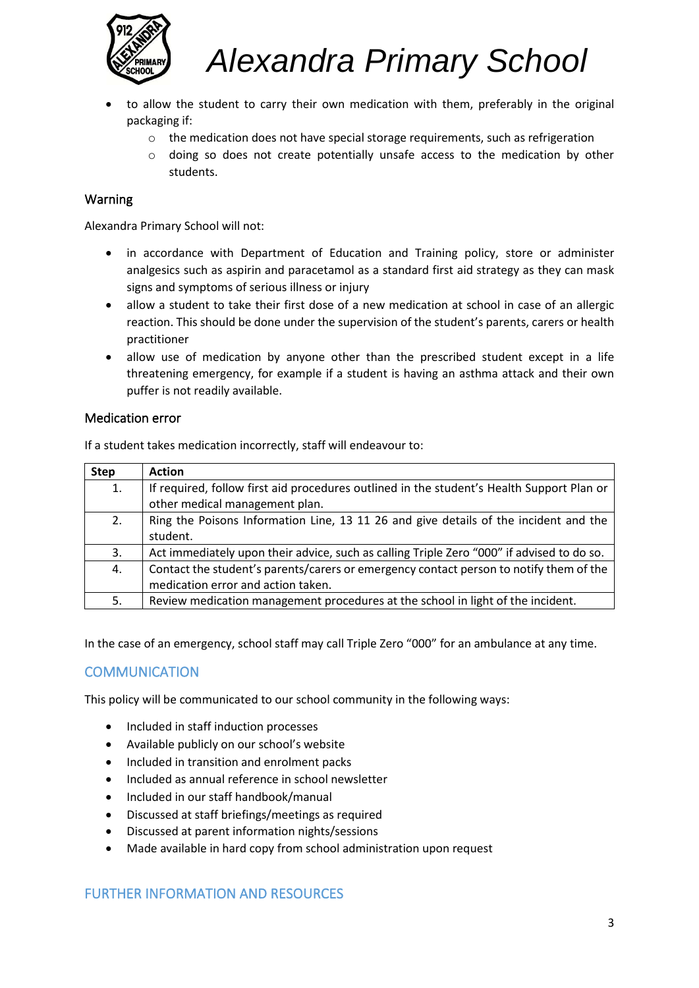

- to allow the student to carry their own medication with them, preferably in the original packaging if:
	- $\circ$  the medication does not have special storage requirements, such as refrigeration
	- o doing so does not create potentially unsafe access to the medication by other students.

# Warning

Alexandra Primary School will not:

- in accordance with Department of Education and Training policy, store or administer analgesics such as aspirin and paracetamol as a standard first aid strategy as they can mask signs and symptoms of serious illness or injury
- allow a student to take their first dose of a new medication at school in case of an allergic reaction. This should be done under the supervision of the student's parents, carers or health practitioner
- allow use of medication by anyone other than the prescribed student except in a life threatening emergency, for example if a student is having an asthma attack and their own puffer is not readily available.

#### Medication error

If a student takes medication incorrectly, staff will endeavour to:

| <b>Step</b> | <b>Action</b>                                                                             |
|-------------|-------------------------------------------------------------------------------------------|
| 1.          | If required, follow first aid procedures outlined in the student's Health Support Plan or |
|             | other medical management plan.                                                            |
| 2.          | Ring the Poisons Information Line, 13 11 26 and give details of the incident and the      |
|             | student.                                                                                  |
| 3.          | Act immediately upon their advice, such as calling Triple Zero "000" if advised to do so. |
| 4.          | Contact the student's parents/carers or emergency contact person to notify them of the    |
|             | medication error and action taken.                                                        |
| 5.          | Review medication management procedures at the school in light of the incident.           |

In the case of an emergency, school staff may call Triple Zero "000" for an ambulance at any time.

# **COMMUNICATION**

This policy will be communicated to our school community in the following ways:

- Included in staff induction processes
- Available publicly on our school's website
- Included in transition and enrolment packs
- Included as annual reference in school newsletter
- Included in our staff handbook/manual
- Discussed at staff briefings/meetings as required
- Discussed at parent information nights/sessions
- Made available in hard copy from school administration upon request

# FURTHER INFORMATION AND RESOURCES